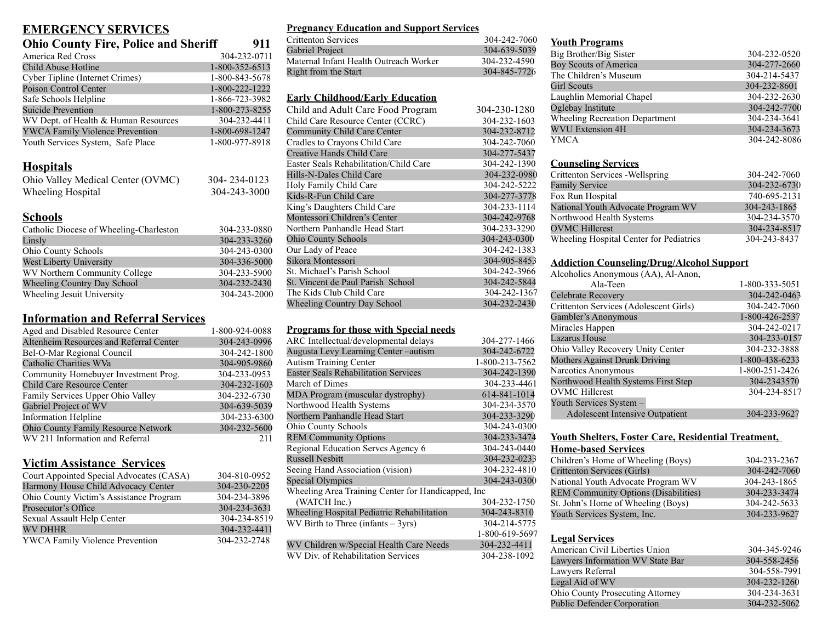| <b>Ohio County Fire, Police and Sheriff</b> | 911            |  |
|---------------------------------------------|----------------|--|
| America Red Cross                           | 304-232-0711   |  |
| Child Abuse Hotline                         | 1-800-352-6513 |  |
| Cyber Tipline (Internet Crimes)             | 1-800-843-5678 |  |
| Poison Control Center                       | 1-800-222-1222 |  |
| Safe Schools Helpline                       | 1-866-723-3982 |  |
| <b>Suicide Prevention</b>                   | 1-800-273-8255 |  |
| WV Dept. of Health & Human Resources        | 304-232-4411   |  |
| <b>YWCA Family Violence Prevention</b>      | 1-800-698-1247 |  |
| Youth Services System, Safe Place           | 1-800-977-8918 |  |
| <b>Hospitals</b>                            |                |  |
| Ohio Valley Medical Center (OVMC)           | 304-234-0123   |  |
| Wheeling Hospital                           | 304-243-3000   |  |
| Schools                                     |                |  |
| $C_{1}$ . 11. $D$                           | aal aaa adda   |  |

| Catholic Diocese of Wheeling-Charleston | 304-233-0880 |
|-----------------------------------------|--------------|
| Linsly                                  | 304-233-3260 |
| Ohio County Schools                     | 304-243-0300 |
| West Liberty University                 | 304-336-5000 |
| WV Northern Community College           | 304-233-5900 |
| <b>Wheeling Country Day School</b>      | 304-232-2430 |
| Wheeling Jesuit University              | 304-243-2000 |

### **Information and Referral Services**

| Aged and Disabled Resource Center       | 1-800-924-0088 |
|-----------------------------------------|----------------|
| Altenheim Resources and Referral Center | 304-243-0996   |
| Bel-O-Mar Regional Council              | 304-242-1800   |
| Catholic Charities WVa                  | 304-905-9860   |
| Community Homebuyer Investment Prog.    | 304-233-0953   |
| <b>Child Care Resource Center</b>       | 304-232-1603   |
| Family Services Upper Ohio Valley       | 304-232-6730   |
| Gabriel Project of WV                   | 304-639-5039   |
| <b>Information Helpline</b>             | 304-233-6300   |
| Ohio County Family Resource Network     | 304-232-5600   |
| WV 211 Information and Referral         | 211            |

### **Victim Assistance Services**

| Court Appointed Special Advocates (CASA) | 304-810-0952 |
|------------------------------------------|--------------|
| Harmony House Child Advocacy Center      | 304-230-2205 |
| Ohio County Victim's Assistance Program  | 304-234-3896 |
| Prosecutor's Office                      | 304-234-3631 |
| Sexual Assault Help Center               | 304-234-8519 |
| <b>WV DHHR</b>                           | 304-232-4411 |
| YWCA Family Violence Prevention          | 304-232-2748 |

### **Pregnancy Education and Support Services**

| 304-242-7060 |
|--------------|
| 304-639-5039 |
| 304-232-4590 |
| 304-845-7726 |
|              |

### **Early Childhood/Early Education**

| Child and Adult Care Food Program      | 304-230-1280 |
|----------------------------------------|--------------|
| Child Care Resource Center (CCRC)      | 304-232-1603 |
| <b>Community Child Care Center</b>     | 304-232-8712 |
| Cradles to Crayons Child Care          | 304-242-7060 |
| Creative Hands Child Care              | 304-277-5437 |
| Easter Seals Rehabilitation/Child Care | 304-242-1390 |
| Hills-N-Dales Child Care               | 304-232-0980 |
| Holy Family Child Care                 | 304-242-5222 |
| Kids-R-Fun Child Care                  | 304-277-3778 |
| King's Daughters Child Care            | 304-233-1114 |
| Montessori Children's Center           | 304-242-9768 |
| Northern Panhandle Head Start          | 304-233-3290 |
| <b>Ohio County Schools</b>             | 304-243-0300 |
| Our Lady of Peace                      | 304-242-1383 |
| Sikora Montessori                      | 304-905-8453 |
| St. Michael's Parish School            | 304-242-3966 |
| St. Vincent de Paul Parish School      | 304-242-5844 |
| The Kids Club Child Care               | 304-242-1367 |
| <b>Wheeling Country Day School</b>     | 304-232-2430 |

### **Programs for those with Special needs**

| ARC Intellectual/developmental delays              | 304-277-1466   |
|----------------------------------------------------|----------------|
| Augusta Levy Learning Center-autism                | 304-242-6722   |
| <b>Autism Training Center</b>                      | 1-800-213-7562 |
| <b>Easter Seals Rehabilitation Services</b>        | 304-242-1390   |
| March of Dimes                                     | 304-233-4461   |
| MDA Program (muscular dystrophy)                   | 614-841-1014   |
| Northwood Health Systems                           | 304-234-3570   |
| Northern Panhandle Head Start                      | 304-233-3290   |
| <b>Ohio County Schools</b>                         | 304-243-0300   |
| <b>REM Community Options</b>                       | 304-233-3474   |
| Regional Education Serves Agency 6                 | 304-243-0440   |
| <b>Russell Nesbitt</b>                             | 304-232-0233   |
| Seeing Hand Association (vision)                   | 304-232-4810   |
| <b>Special Olympics</b>                            | 304-243-0300   |
| Wheeling Area Training Center for Handicapped, Inc |                |
| (WATCH Inc.)                                       | 304-232-1750   |
| Wheeling Hospital Pediatric Rehabilitation         | 304-243-8310   |
| $WV$ Birth to Three (infants $-3yrs$ )             | 304-214-5775   |
|                                                    | 1-800-619-5697 |
| WV Children w/Special Health Care Needs            | 304-232-4411   |
| WV Div. of Rehabilitation Services                 | 304-238-1092   |
|                                                    |                |

#### **Youth Programs**

| TOWER TTOETHING                |              |
|--------------------------------|--------------|
| Big Brother/Big Sister         | 304-232-0520 |
| <b>Boy Scouts of America</b>   | 304-277-2660 |
| The Children's Museum          | 304-214-5437 |
| Girl Scouts                    | 304-232-8601 |
| Laughlin Memorial Chapel       | 304-232-2630 |
| Oglebay Institute              | 304-242-7700 |
| Wheeling Recreation Department | 304-234-3641 |
| <b>WVU Extension 4H</b>        | 304-234-3673 |
| <b>YMCA</b>                    | 304-242-8086 |

### **Counseling Services**

| Crittenton Services - Wellspring        | 304-242-7060 |
|-----------------------------------------|--------------|
| <b>Family Service</b>                   | 304-232-6730 |
| Fox Run Hospital                        | 740-695-2131 |
| National Youth Advocate Program WV      | 304-243-1865 |
| Northwood Health Systems                | 304-234-3570 |
| <b>OVMC</b> Hillcrest                   | 304-234-8517 |
| Wheeling Hospital Center for Pediatrics | 304-243-8437 |

### **Addiction Counseling/Drug/Alcohol Support**

| Alcoholics Anonymous (AA), Al-Anon,    |                |
|----------------------------------------|----------------|
| Ala-Teen                               | 1-800-333-5051 |
| Celebrate Recovery                     | 304-242-0463   |
| Crittenton Services (Adolescent Girls) | 304-242-7060   |
| Gambler's Anonymous                    | 1-800-426-2537 |
| Miracles Happen                        | 304-242-0217   |
| <b>Lazarus House</b>                   | 304-233-0157   |
| Ohio Valley Recovery Unity Center      | 304-232-3888   |
| Mothers Against Drunk Driving          | 1-800-438-6233 |
| Narcotics Anonymous                    | 1-800-251-2426 |
| Northwood Health Systems First Step    | 304-2343570    |
| <b>OVMC</b> Hillcrest                  | 304-234-8517   |
| Youth Services System -                |                |
| <b>Adolescent Intensive Outpatient</b> | 304-233-9627   |

#### **Youth Shelters, Foster Care, Residential Treatment, Home-based Services**

| Home bused Del Tiecs                        |              |
|---------------------------------------------|--------------|
| Children's Home of Wheeling (Boys)          | 304-233-2367 |
| Crittenton Services (Girls)                 | 304-242-7060 |
| National Youth Advocate Program WV          | 304-243-1865 |
| <b>REM Community Options (Disabilities)</b> | 304-233-3474 |
| St. John's Home of Wheeling (Boys)          | 304-242-5633 |
| Youth Services System, Inc.                 | 304-233-9627 |
|                                             |              |

### **Legal Services**

| American Civil Liberties Union          | 304-345-9246 |
|-----------------------------------------|--------------|
| Lawyers Information WV State Bar        | 304-558-2456 |
| Lawyers Referral                        | 304-558-7991 |
| Legal Aid of WV                         | 304-232-1260 |
| <b>Ohio County Prosecuting Attorney</b> | 304-234-3631 |
| <b>Public Defender Corporation</b>      | 304-232-5062 |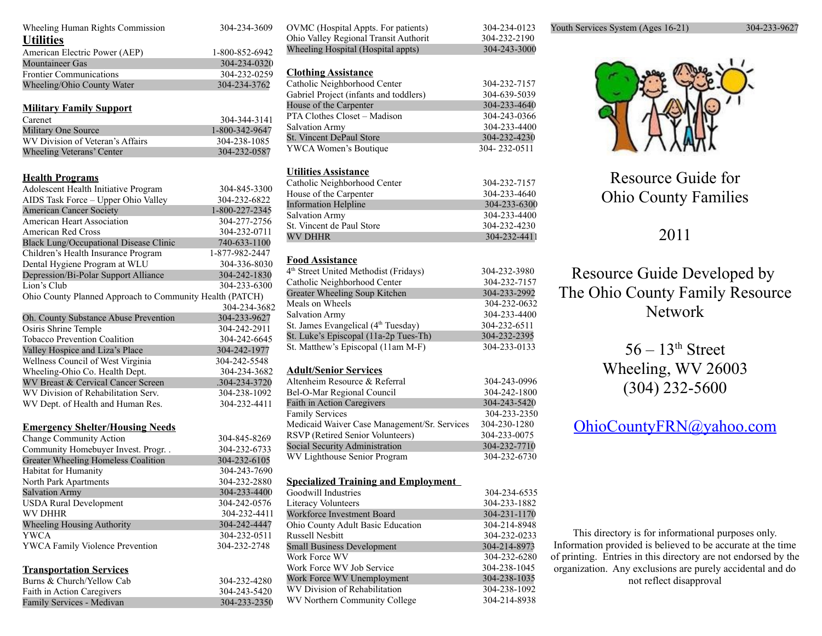| Wheeling Human Rights Commission                                     | 304-234-3609                 |
|----------------------------------------------------------------------|------------------------------|
| <b>Utilities</b>                                                     |                              |
| American Electric Power (AEP)                                        | 1-800-852-6942               |
| <b>Mountaineer Gas</b>                                               | 304-234-0320                 |
| <b>Frontier Communications</b>                                       | 304-232-0259                 |
| Wheeling/Ohio County Water                                           | 304-234-3762                 |
|                                                                      |                              |
| <b>Military Family Support</b>                                       |                              |
| Carenet                                                              | 304-344-3141                 |
| Military One Source                                                  | 1-800-342-9647               |
| WV Division of Veteran's Affairs                                     | 304-238-1085                 |
| Wheeling Veterans' Center                                            | 304-232-0587                 |
|                                                                      |                              |
| <b>Health Programs</b>                                               |                              |
| Adolescent Health Initiative Program                                 | 304-845-3300                 |
| AIDS Task Force - Upper Ohio Valley                                  | 304-232-6822                 |
| <b>American Cancer Society</b>                                       | 1-800-227-2345               |
| <b>American Heart Association</b>                                    | 304-277-2756                 |
| American Red Cross                                                   | 304-232-0711                 |
| Black Lung/Occupational Disease Clinic                               | 740-633-1100                 |
| Children's Health Insurance Program                                  | 1-877-982-2447               |
| Dental Hygiene Program at WLU                                        | 304-336-8030                 |
| Depression/Bi-Polar Support Alliance                                 | 304-242-1830                 |
| Lion's Club                                                          | 304-233-6300                 |
| Ohio County Planned Approach to Community Health (PATCH)             |                              |
|                                                                      | 304-234-3682                 |
|                                                                      |                              |
|                                                                      |                              |
| Oh. County Substance Abuse Prevention                                | 304-233-9627<br>304-242-2911 |
| Osiris Shrine Temple<br><b>Tobacco Prevention Coalition</b>          | 304-242-6645                 |
|                                                                      | 304-242-1977                 |
| Valley Hospice and Liza's Place<br>Wellness Council of West Virginia | 304-242-5548                 |
| Wheeling-Ohio Co. Health Dept.                                       | 304-234-3682                 |
| WV Breast & Cervical Cancer Screen                                   | .304-234-3720                |
| WV Division of Rehabilitation Serv.                                  | 304-238-1092                 |
| WV Dept. of Health and Human Res.                                    | 304-232-4411                 |
|                                                                      |                              |
|                                                                      |                              |
| <b>Emergency Shelter/Housing Needs</b>                               | 304-845-8269                 |
| <b>Change Community Action</b>                                       |                              |
| Community Homebuyer Invest. Progr. .                                 | 304-232-6733                 |
| Greater Wheeling Homeless Coalition<br>Habitat for Humanity          | 304-232-6105<br>304-243-7690 |
| North Park Apartments                                                | 304-232-2880                 |
|                                                                      |                              |
| <b>Salvation Army</b>                                                | 304-233-4400<br>304-242-0576 |
| <b>USDA Rural Development</b><br><b>WV DHHR</b>                      | 304-232-4411                 |
| Wheeling Housing Authority                                           | 304-242-4447                 |
| YWCA                                                                 | 304-232-0511                 |
| YWCA Family Violence Prevention                                      | 304-232-2748                 |
|                                                                      |                              |
|                                                                      |                              |
| <b>Transportation Services</b>                                       |                              |
| Burns & Church/Yellow Cab<br>Faith in Action Caregivers              | 304-232-4280<br>304-243-5420 |

| OVMC (Hospital Appts. For patients)               | 304-234-0123 |
|---------------------------------------------------|--------------|
| Ohio Valley Regional Transit Authorit             | 304-232-2190 |
| Wheeling Hospital (Hospital appts)                | 304-243-3000 |
|                                                   |              |
| <b>Clothing Assistance</b>                        |              |
| Catholic Neighborhood Center                      | 304-232-7157 |
| Gabriel Project (infants and toddlers)            | 304-639-5039 |
| House of the Carpenter                            | 304-233-4640 |
| PTA Clothes Closet - Madison                      | 304-243-0366 |
| <b>Salvation Army</b>                             | 304-233-4400 |
| St. Vincent DePaul Store                          | 304-232-4230 |
| YWCA Women's Boutique                             | 304-232-0511 |
|                                                   |              |
|                                                   |              |
| <b>Utilities Assistance</b>                       |              |
| Catholic Neighborhood Center                      | 304-232-7157 |
| House of the Carpenter                            | 304-233-4640 |
| <b>Information Helpline</b>                       | 304-233-6300 |
| <b>Salvation Army</b>                             | 304-233-4400 |
| St. Vincent de Paul Store                         | 304-232-4230 |
| <b>WV DHHR</b>                                    | 304-232-4411 |
|                                                   |              |
| <b>Food Assistance</b>                            |              |
| 4 <sup>th</sup> Street United Methodist (Fridays) | 304-232-3980 |
| Catholic Neighborhood Center                      | 304-232-7157 |
| Greater Wheeling Soup Kitchen                     | 304-233-2992 |
| Meals on Wheels                                   | 304-232-0632 |
| <b>Salvation Army</b>                             | 304-233-4400 |
| St. James Evangelical (4 <sup>th</sup> Tuesday)   | 304-232-6511 |
| St. Luke's Episcopal (11a-2p Tues-Th)             | 304-232-2395 |
| St. Matthew's Episcopal (11am M-F)                | 304-233-0133 |
|                                                   |              |
| <b>Adult/Senior Services</b>                      |              |
| Altenheim Resource & Referral                     | 304-243-0996 |
| Bel-O-Mar Regional Council                        | 304-242-1800 |
| <b>Faith in Action Caregivers</b>                 | 304-243-5420 |
| <b>Family Services</b>                            | 304-233-2350 |
| Medicaid Waiver Case Management/Sr. Services      | 304-230-1280 |
| RSVP (Retired Senior Volunteers)                  | 304-233-0075 |
| Social Security Administration                    | 304-232-7710 |
| WV Lighthouse Senior Program                      | 304-232-6730 |
|                                                   |              |
|                                                   |              |
| <b>Specialized Training and Employment</b>        |              |
| Goodwill Industries                               | 304-234-6535 |
| Literacy Volunteers                               | 304-233-1882 |
| Workforce Investment Board                        | 304-231-1170 |
| Ohio County Adult Basic Education                 | 304-214-8948 |
| <b>Russell Nesbitt</b>                            | 304-232-0233 |
| <b>Small Business Development</b>                 | 304-214-8973 |
| Work Force WV                                     | 304-232-6280 |
| Work Force WV Job Service                         | 304-238-1045 |
| Work Force WV Unemployment                        | 304-238-1035 |
| WV Division of Rehabilitation                     | 304-238-1092 |
| WV Northern Community College                     | 304-214-8938 |
|                                                   |              |

Youth Services System (Ages 16-21) 304-233-9627



Resource Guide for Ohio County Families

## 2011

Resource Guide Developed by The Ohio County Family Resource Network

> $56 - 13$ <sup>th</sup> Street Wheeling, WV 26003 (304) 232-5600

## [OhioCountyFRN@yahoo.com](mailto:OhioCountyFRN@yahoo.com)

This directory is for informational purposes only. Information provided is believed to be accurate at the time of printing. Entries in this directory are not endorsed by the organization. Any exclusions are purely accidental and do not reflect disapproval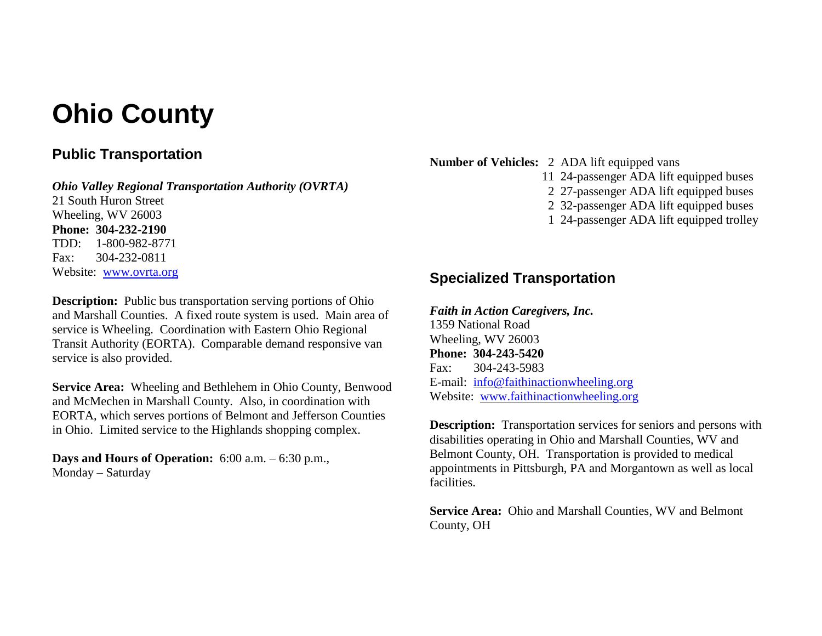# **Ohio County**

## **Public Transportation**

*Ohio Valley Regional Transportation Authority (OVRTA)* 21 South Huron Street Wheeling, WV 26003 **Phone: 304-232-2190** TDD: 1-800-982-8771 Fax: 304-232-0811 Website: [www.ovrta.org](http://www.ovrta.org/)

**Description:** Public bus transportation serving portions of Ohio and Marshall Counties. A fixed route system is used. Main area of service is Wheeling. Coordination with Eastern Ohio Regional Transit Authority (EORTA). Comparable demand responsive van service is also provided.

**Service Area:** Wheeling and Bethlehem in Ohio County, Benwood and McMechen in Marshall County. Also, in coordination with EORTA, which serves portions of Belmont and Jefferson Counties in Ohio. Limited service to the Highlands shopping complex.

**Days and Hours of Operation:** 6:00 a.m. – 6:30 p.m., Monday – Saturday

**Number of Vehicles:** 2 ADA lift equipped vans

- 11 24-passenger ADA lift equipped buses
- 2 27-passenger ADA lift equipped buses
- 2 32-passenger ADA lift equipped buses
- 1 24-passenger ADA lift equipped trolley

## **Specialized Transportation**

*Faith in Action Caregivers, Inc.* 1359 National Road Wheeling, WV 26003 **Phone: 304-243-5420** Fax: 304-243-5983 E-mail: [info@faithinactionwheeling.org](mailto:info@faithinactionwheeling.org) Website: [www.faithinactionwheeling.org](http://www.faithinactionwheeling.org/)

**Description:** Transportation services for seniors and persons with disabilities operating in Ohio and Marshall Counties, WV and Belmont County, OH. Transportation is provided to medical appointments in Pittsburgh, PA and Morgantown as well as local facilities.

**Service Area:** Ohio and Marshall Counties, WV and Belmont County, OH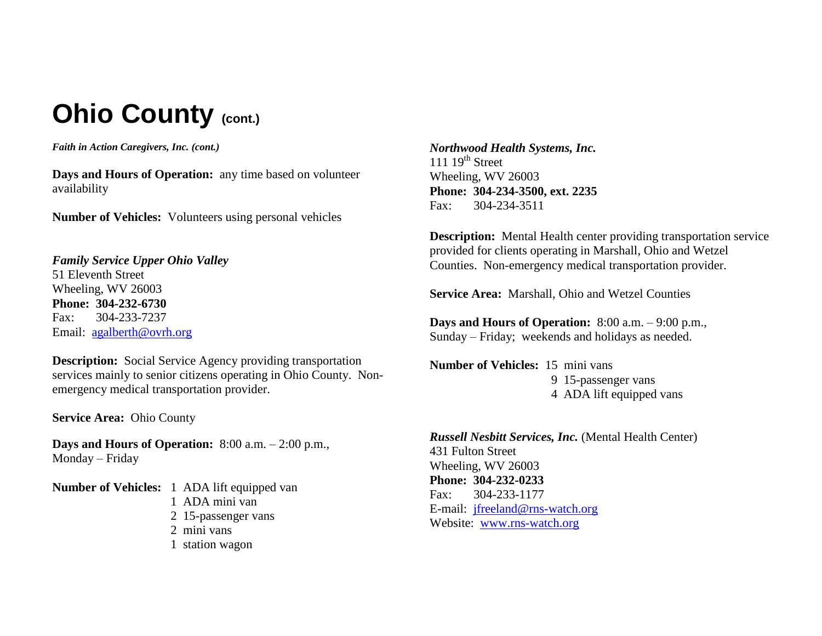# **Ohio County (cont.)**

*Faith in Action Caregivers, Inc. (cont.)*

**Days and Hours of Operation:** any time based on volunteer availability

**Number of Vehicles:** Volunteers using personal vehicles

*Family Service Upper Ohio Valley* 51 Eleventh Street Wheeling, WV 26003 **Phone: 304-232-6730** Fax: 304-233-7237 Email: [agalberth@ovrh.org](mailto:agalberth@ovrh.org)

**Description:** Social Service Agency providing transportation services mainly to senior citizens operating in Ohio County. Nonemergency medical transportation provider.

**Service Area:** Ohio County

**Days and Hours of Operation:** 8:00 a.m. – 2:00 p.m., Monday – Friday

**Number of Vehicles:** 1 ADA lift equipped van 1 ADA mini van 2 15-passenger vans 2 mini vans 1 station wagon

*Northwood Health Systems, Inc.* 111  $19<sup>th</sup>$  Street Wheeling, WV 26003 **Phone: 304-234-3500, ext. 2235** Fax: 304-234-3511

**Description:** Mental Health center providing transportation service provided for clients operating in Marshall, Ohio and Wetzel Counties. Non-emergency medical transportation provider.

**Service Area:** Marshall, Ohio and Wetzel Counties

**Days and Hours of Operation:** 8:00 a.m. – 9:00 p.m., Sunday – Friday; weekends and holidays as needed.

**Number of Vehicles:** 15 mini vans 9 15-passenger vans 4 ADA lift equipped vans

*Russell Nesbitt Services, Inc.* (Mental Health Center) 431 Fulton Street Wheeling, WV 26003 **Phone: 304-232-0233** Fax: 304-233-1177 E-mail: [jfreeland@rns-watch.org](mailto:jfreeland@rns-watch.org) Website: [www.rns-watch.org](http://www.rns-watch.org/)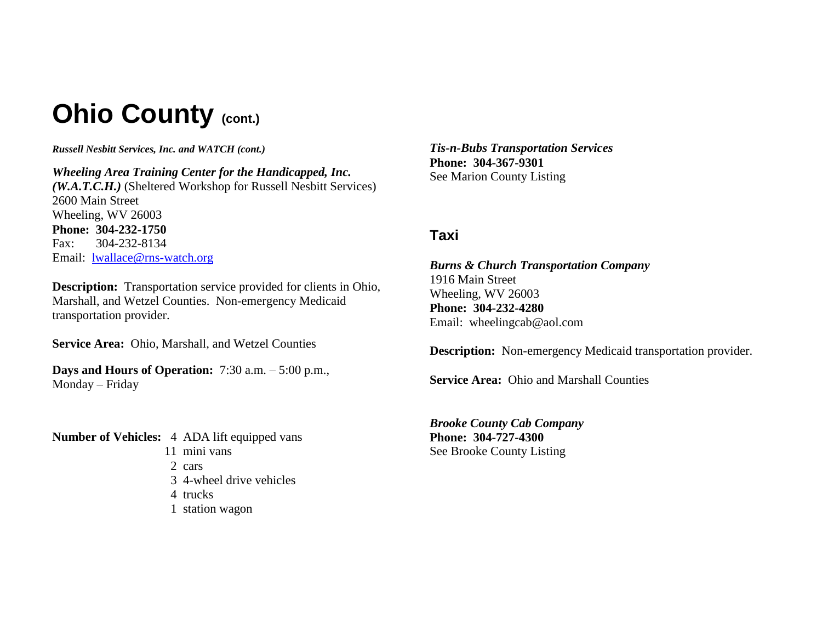# **Ohio County (CONL.)**

*Russell Nesbitt Services, Inc. and WATCH (cont.)*

*Wheeling Area Training Center for the Handicapped, Inc. (W.A.T.C.H.)* (Sheltered Workshop for Russell Nesbitt Services) 2600 Main Street Wheeling, WV 26003 **Phone: 304-232-1750** Fax: 304-232-8134 Email: [lwallace@rns-watch.org](mailto:lwallace@rns-watch.org)

**Description:** Transportation service provided for clients in Ohio, Marshall, and Wetzel Counties. Non-emergency Medicaid transportation provider.

**Service Area:** Ohio, Marshall, and Wetzel Counties

**Days and Hours of Operation:** 7:30 a.m. – 5:00 p.m., Monday – Friday

**Number of Vehicles:** 4 ADA lift equipped vans 11 mini vans 2 cars 3 4-wheel drive vehicles

- 4 trucks
- 1 station wagon

*Tis-n-Bubs Transportation Services* **Phone: 304-367-9301** See Marion County Listing

## **Taxi**

## *Burns & Church Transportation Company*

1916 Main Street Wheeling, WV 26003 **Phone: 304-232-4280** Email: wheelingcab@aol.com

**Description:** Non-emergency Medicaid transportation provider.

**Service Area:** Ohio and Marshall Counties

*Brooke County Cab Company* **Phone: 304-727-4300** See Brooke County Listing